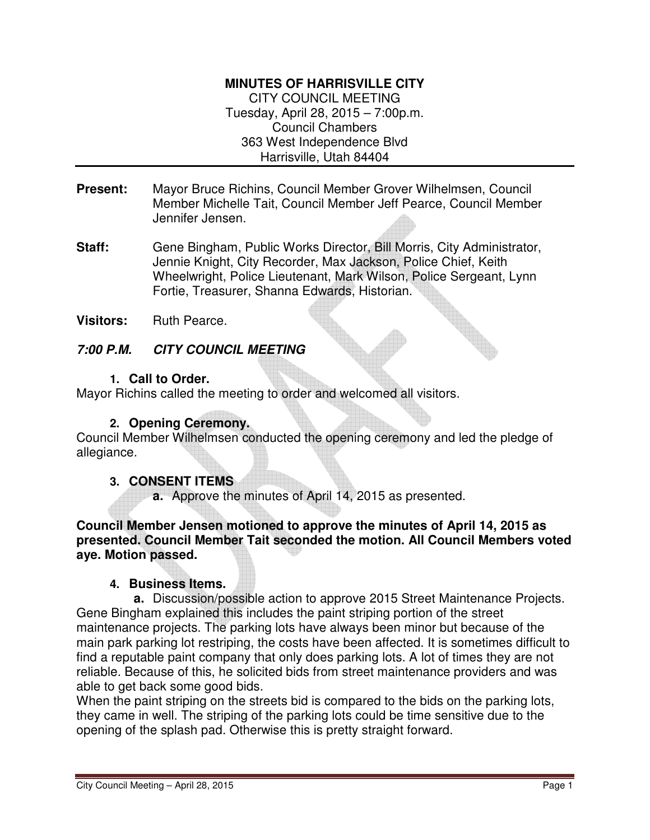### **MINUTES OF HARRISVILLE CITY**

CITY COUNCIL MEETING Tuesday, April 28, 2015 – 7:00p.m. Council Chambers 363 West Independence Blvd Harrisville, Utah 84404

- **Present:** Mayor Bruce Richins, Council Member Grover Wilhelmsen, Council Member Michelle Tait, Council Member Jeff Pearce, Council Member Jennifer Jensen.
- **Staff:** Gene Bingham, Public Works Director, Bill Morris, City Administrator, Jennie Knight, City Recorder, Max Jackson, Police Chief, Keith Wheelwright, Police Lieutenant, Mark Wilson, Police Sergeant, Lynn Fortie, Treasurer, Shanna Edwards, Historian.
- **Visitors:** Ruth Pearce.

### **7:00 P.M. CITY COUNCIL MEETING**

#### **1. Call to Order.**

Mayor Richins called the meeting to order and welcomed all visitors.

### **2. Opening Ceremony.**

Council Member Wilhelmsen conducted the opening ceremony and led the pledge of allegiance.

#### **3. CONSENT ITEMS**

**a.** Approve the minutes of April 14, 2015 as presented.

**Council Member Jensen motioned to approve the minutes of April 14, 2015 as presented. Council Member Tait seconded the motion. All Council Members voted aye. Motion passed.** 

#### **4. Business Items.**

**a.** Discussion/possible action to approve 2015 Street Maintenance Projects. Gene Bingham explained this includes the paint striping portion of the street maintenance projects. The parking lots have always been minor but because of the main park parking lot restriping, the costs have been affected. It is sometimes difficult to find a reputable paint company that only does parking lots. A lot of times they are not reliable. Because of this, he solicited bids from street maintenance providers and was able to get back some good bids.

When the paint striping on the streets bid is compared to the bids on the parking lots, they came in well. The striping of the parking lots could be time sensitive due to the opening of the splash pad. Otherwise this is pretty straight forward.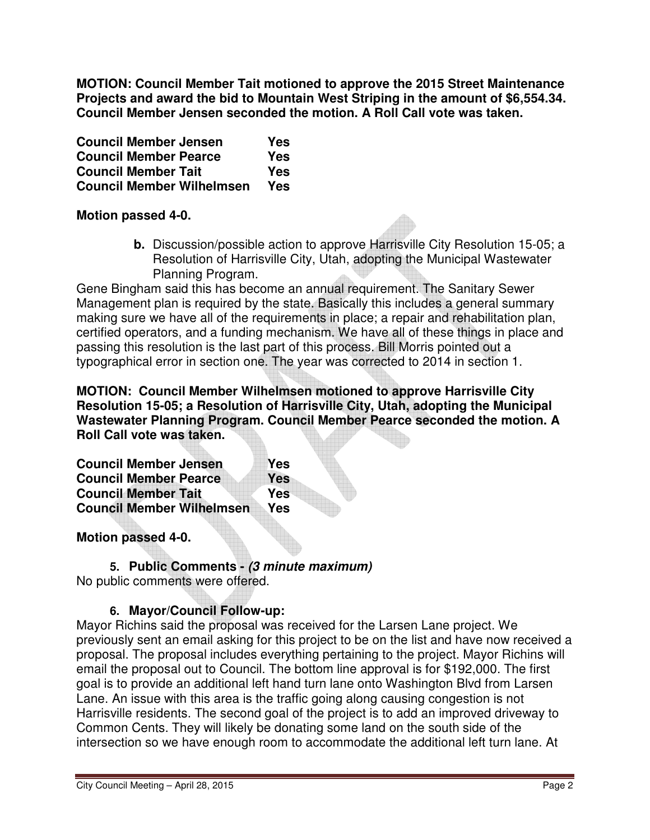**MOTION: Council Member Tait motioned to approve the 2015 Street Maintenance Projects and award the bid to Mountain West Striping in the amount of \$6,554.34. Council Member Jensen seconded the motion. A Roll Call vote was taken.** 

| <b>Council Member Jensen</b>     | Yes |
|----------------------------------|-----|
| <b>Council Member Pearce</b>     | Yes |
| <b>Council Member Tait</b>       | Yes |
| <b>Council Member Wilhelmsen</b> | Yes |

### **Motion passed 4-0.**

**b.** Discussion/possible action to approve Harrisville City Resolution 15-05; a Resolution of Harrisville City, Utah, adopting the Municipal Wastewater Planning Program.

Gene Bingham said this has become an annual requirement. The Sanitary Sewer Management plan is required by the state. Basically this includes a general summary making sure we have all of the requirements in place; a repair and rehabilitation plan, certified operators, and a funding mechanism. We have all of these things in place and passing this resolution is the last part of this process. Bill Morris pointed out a typographical error in section one. The year was corrected to 2014 in section 1.

**MOTION: Council Member Wilhelmsen motioned to approve Harrisville City Resolution 15-05; a Resolution of Harrisville City, Utah, adopting the Municipal Wastewater Planning Program. Council Member Pearce seconded the motion. A Roll Call vote was taken.** 

| <b>Council Member Jensen</b>     | Yes        |
|----------------------------------|------------|
| <b>Council Member Pearce</b>     | <b>Yes</b> |
| <b>Council Member Tait</b>       | <b>Yes</b> |
| <b>Council Member Wilhelmsen</b> | Yes        |

## **Motion passed 4-0.**

**5. Public Comments - (3 minute maximum)** No public comments were offered.

# **6. Mayor/Council Follow-up:**

Mayor Richins said the proposal was received for the Larsen Lane project. We previously sent an email asking for this project to be on the list and have now received a proposal. The proposal includes everything pertaining to the project. Mayor Richins will email the proposal out to Council. The bottom line approval is for \$192,000. The first goal is to provide an additional left hand turn lane onto Washington Blvd from Larsen Lane. An issue with this area is the traffic going along causing congestion is not Harrisville residents. The second goal of the project is to add an improved driveway to Common Cents. They will likely be donating some land on the south side of the intersection so we have enough room to accommodate the additional left turn lane. At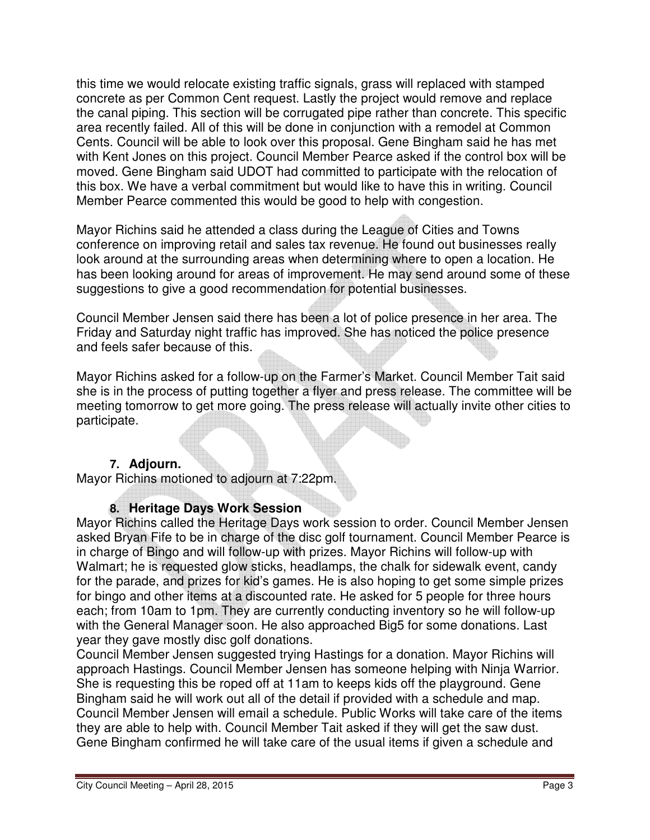this time we would relocate existing traffic signals, grass will replaced with stamped concrete as per Common Cent request. Lastly the project would remove and replace the canal piping. This section will be corrugated pipe rather than concrete. This specific area recently failed. All of this will be done in conjunction with a remodel at Common Cents. Council will be able to look over this proposal. Gene Bingham said he has met with Kent Jones on this project. Council Member Pearce asked if the control box will be moved. Gene Bingham said UDOT had committed to participate with the relocation of this box. We have a verbal commitment but would like to have this in writing. Council Member Pearce commented this would be good to help with congestion.

Mayor Richins said he attended a class during the League of Cities and Towns conference on improving retail and sales tax revenue. He found out businesses really look around at the surrounding areas when determining where to open a location. He has been looking around for areas of improvement. He may send around some of these suggestions to give a good recommendation for potential businesses.

Council Member Jensen said there has been a lot of police presence in her area. The Friday and Saturday night traffic has improved. She has noticed the police presence and feels safer because of this.

Mayor Richins asked for a follow-up on the Farmer's Market. Council Member Tait said she is in the process of putting together a flyer and press release. The committee will be meeting tomorrow to get more going. The press release will actually invite other cities to participate.

## **7. Adjourn.**

Mayor Richins motioned to adjourn at 7:22pm.

## **8. Heritage Days Work Session**

Mayor Richins called the Heritage Days work session to order. Council Member Jensen asked Bryan Fife to be in charge of the disc golf tournament. Council Member Pearce is in charge of Bingo and will follow-up with prizes. Mayor Richins will follow-up with Walmart; he is requested glow sticks, headlamps, the chalk for sidewalk event, candy for the parade, and prizes for kid's games. He is also hoping to get some simple prizes for bingo and other items at a discounted rate. He asked for 5 people for three hours each; from 10am to 1pm. They are currently conducting inventory so he will follow-up with the General Manager soon. He also approached Big5 for some donations. Last year they gave mostly disc golf donations.

Council Member Jensen suggested trying Hastings for a donation. Mayor Richins will approach Hastings. Council Member Jensen has someone helping with Ninja Warrior. She is requesting this be roped off at 11am to keeps kids off the playground. Gene Bingham said he will work out all of the detail if provided with a schedule and map. Council Member Jensen will email a schedule. Public Works will take care of the items they are able to help with. Council Member Tait asked if they will get the saw dust. Gene Bingham confirmed he will take care of the usual items if given a schedule and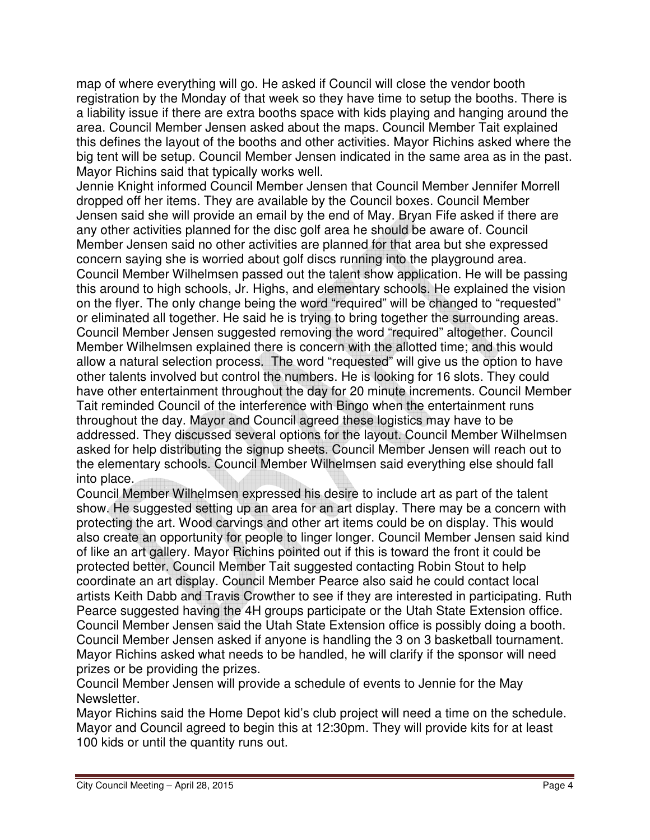map of where everything will go. He asked if Council will close the vendor booth registration by the Monday of that week so they have time to setup the booths. There is a liability issue if there are extra booths space with kids playing and hanging around the area. Council Member Jensen asked about the maps. Council Member Tait explained this defines the layout of the booths and other activities. Mayor Richins asked where the big tent will be setup. Council Member Jensen indicated in the same area as in the past. Mayor Richins said that typically works well.

Jennie Knight informed Council Member Jensen that Council Member Jennifer Morrell dropped off her items. They are available by the Council boxes. Council Member Jensen said she will provide an email by the end of May. Bryan Fife asked if there are any other activities planned for the disc golf area he should be aware of. Council Member Jensen said no other activities are planned for that area but she expressed concern saying she is worried about golf discs running into the playground area. Council Member Wilhelmsen passed out the talent show application. He will be passing this around to high schools, Jr. Highs, and elementary schools. He explained the vision on the flyer. The only change being the word "required" will be changed to "requested" or eliminated all together. He said he is trying to bring together the surrounding areas. Council Member Jensen suggested removing the word "required" altogether. Council Member Wilhelmsen explained there is concern with the allotted time; and this would allow a natural selection process. The word "requested" will give us the option to have other talents involved but control the numbers. He is looking for 16 slots. They could have other entertainment throughout the day for 20 minute increments. Council Member Tait reminded Council of the interference with Bingo when the entertainment runs throughout the day. Mayor and Council agreed these logistics may have to be addressed. They discussed several options for the layout. Council Member Wilhelmsen asked for help distributing the signup sheets. Council Member Jensen will reach out to the elementary schools. Council Member Wilhelmsen said everything else should fall into place.

Council Member Wilhelmsen expressed his desire to include art as part of the talent show. He suggested setting up an area for an art display. There may be a concern with protecting the art. Wood carvings and other art items could be on display. This would also create an opportunity for people to linger longer. Council Member Jensen said kind of like an art gallery. Mayor Richins pointed out if this is toward the front it could be protected better. Council Member Tait suggested contacting Robin Stout to help coordinate an art display. Council Member Pearce also said he could contact local artists Keith Dabb and Travis Crowther to see if they are interested in participating. Ruth Pearce suggested having the 4H groups participate or the Utah State Extension office. Council Member Jensen said the Utah State Extension office is possibly doing a booth. Council Member Jensen asked if anyone is handling the 3 on 3 basketball tournament. Mayor Richins asked what needs to be handled, he will clarify if the sponsor will need prizes or be providing the prizes.

Council Member Jensen will provide a schedule of events to Jennie for the May Newsletter.

Mayor Richins said the Home Depot kid's club project will need a time on the schedule. Mayor and Council agreed to begin this at 12:30pm. They will provide kits for at least 100 kids or until the quantity runs out.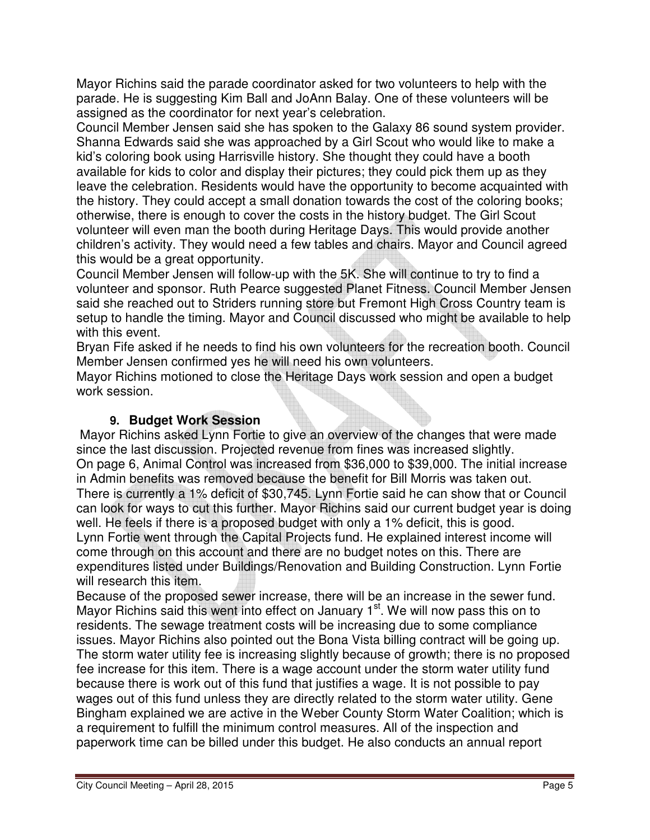Mayor Richins said the parade coordinator asked for two volunteers to help with the parade. He is suggesting Kim Ball and JoAnn Balay. One of these volunteers will be assigned as the coordinator for next year's celebration.

Council Member Jensen said she has spoken to the Galaxy 86 sound system provider. Shanna Edwards said she was approached by a Girl Scout who would like to make a kid's coloring book using Harrisville history. She thought they could have a booth available for kids to color and display their pictures; they could pick them up as they leave the celebration. Residents would have the opportunity to become acquainted with the history. They could accept a small donation towards the cost of the coloring books; otherwise, there is enough to cover the costs in the history budget. The Girl Scout volunteer will even man the booth during Heritage Days. This would provide another children's activity. They would need a few tables and chairs. Mayor and Council agreed this would be a great opportunity.

Council Member Jensen will follow-up with the 5K. She will continue to try to find a volunteer and sponsor. Ruth Pearce suggested Planet Fitness. Council Member Jensen said she reached out to Striders running store but Fremont High Cross Country team is setup to handle the timing. Mayor and Council discussed who might be available to help with this event.

Bryan Fife asked if he needs to find his own volunteers for the recreation booth. Council Member Jensen confirmed yes he will need his own volunteers.

Mayor Richins motioned to close the Heritage Days work session and open a budget work session.

## **9. Budget Work Session**

Mayor Richins asked Lynn Fortie to give an overview of the changes that were made since the last discussion. Projected revenue from fines was increased slightly. On page 6, Animal Control was increased from \$36,000 to \$39,000. The initial increase in Admin benefits was removed because the benefit for Bill Morris was taken out. There is currently a 1% deficit of \$30,745. Lynn Fortie said he can show that or Council can look for ways to cut this further. Mayor Richins said our current budget year is doing well. He feels if there is a proposed budget with only a 1% deficit, this is good. Lynn Fortie went through the Capital Projects fund. He explained interest income will come through on this account and there are no budget notes on this. There are expenditures listed under Buildings/Renovation and Building Construction. Lynn Fortie will research this item.

Because of the proposed sewer increase, there will be an increase in the sewer fund. Mayor Richins said this went into effect on January 1<sup>st</sup>. We will now pass this on to residents. The sewage treatment costs will be increasing due to some compliance issues. Mayor Richins also pointed out the Bona Vista billing contract will be going up. The storm water utility fee is increasing slightly because of growth; there is no proposed fee increase for this item. There is a wage account under the storm water utility fund because there is work out of this fund that justifies a wage. It is not possible to pay wages out of this fund unless they are directly related to the storm water utility. Gene Bingham explained we are active in the Weber County Storm Water Coalition; which is a requirement to fulfill the minimum control measures. All of the inspection and paperwork time can be billed under this budget. He also conducts an annual report